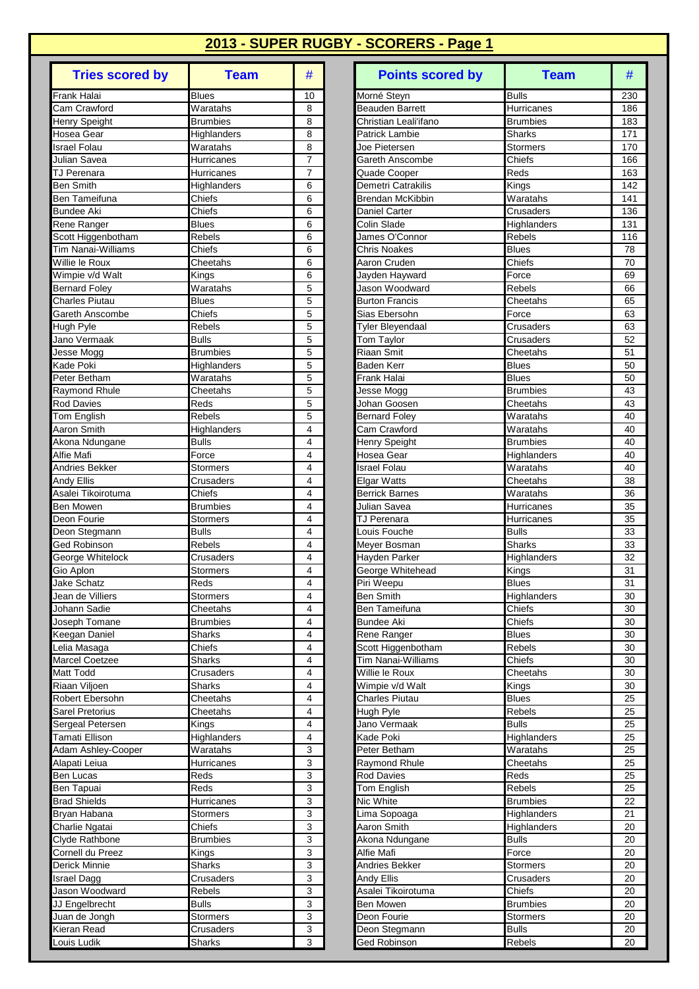| <b>Tries scored by</b>              | <b>Team</b>             | #              |
|-------------------------------------|-------------------------|----------------|
| Frank Halai                         | <b>Blues</b>            | 10             |
| Cam Crawford                        | Waratahs                | 8              |
| Henry Speight                       | <b>Brumbies</b>         | 8              |
| Hosea Gear                          | Highlanders             | 8              |
| <b>Israel Folau</b><br>Julian Savea | Waratahs<br>Hurricanes  | 8<br>7         |
| TJ Perenara                         | Hurricanes              | 7              |
| <b>Ben Smith</b>                    | Highlanders             | 6              |
| Ben Tameifuna                       | Chiefs                  | 6              |
| <b>Bundee Aki</b>                   | Chiefs                  | 6              |
| Rene Ranger                         | <b>Blues</b>            | 6              |
| Scott Higgenbotham                  | Rebels                  | 6              |
| <b>Tim Nanai-Williams</b>           | Chiefs                  | 6              |
| Willie le Roux<br>Wimpie v/d Walt   | Cheetahs<br>Kings       | 6<br>6         |
| Bernard Foley                       | Waratahs                | 5              |
| <b>Charles Piutau</b>               | <b>Blues</b>            | 5              |
| Gareth Anscombe                     | Chiefs                  | 5              |
| Hugh Pyle                           | Rebels                  | 5              |
| Jano Vermaak                        | <b>Bulls</b>            | 5              |
| Jesse Mogg                          | <b>Brumbies</b>         | 5              |
| Kade Poki                           | Highlanders             | 5              |
| Peter Betham                        | Waratahs                | 5              |
| Raymond Rhule<br><b>Rod Davies</b>  | Cheetahs<br>Reds        | 5<br>5         |
| Tom English                         | Rebels                  | 5              |
| Aaron Smith                         | Highlanders             | 4              |
| Akona Ndungane                      | <b>Bulls</b>            | 4              |
| Alfie Mafi                          | Force                   | 4              |
| Andries Bekker                      | <b>Stormers</b>         | 4              |
| Andy Ellis                          | Crusaders               | 4              |
| Asalei Tikoirotuma                  | Chiefs                  | 4              |
| <b>Ben Mowen</b>                    | <b>Brumbies</b>         | 4              |
| Deon Fourie                         | Stormers                | 4<br>4         |
| Deon Stegmann<br>Ged Robinson       | <b>Bulls</b><br>Rebels  | 4              |
| George Whitelock                    | Crusaders               | 4              |
| Gio Aplon                           | Stormers                | 4              |
| Jake Schatz                         | Reds                    | $\overline{4}$ |
| Jean de Villiers                    | Stormers                | 4              |
| Johann Sadie                        | Cheetahs                | 4              |
| Joseph Tomane                       | <b>Brumbies</b>         | 4              |
| Keegan Daniel                       | Sharks                  | 4              |
| Lelia Masaga<br>Marcel Coetzee      | Chiefs<br><b>Sharks</b> | 4<br>4         |
| Matt Todd                           | Crusaders               | 4              |
| Riaan Viljoen                       | Sharks                  | 4              |
| Robert Ebersohn                     | Cheetahs                | 4              |
| Sarel Pretorius                     | Cheetahs                | 4              |
| Sergeal Petersen                    | Kings                   | 4              |
| Tamati Ellison                      | Highlanders             | 4              |
| Adam Ashley-Cooper                  | Waratahs                | 3              |
| Alapati Leiua<br>Ben Lucas          | Hurricanes<br>Reds      | 3<br>3         |
| Ben Tapuai                          | Reds                    | 3              |
| <b>Brad Shields</b>                 | Hurricanes              | 3              |
| Bryan Habana                        | Stormers                | 3              |
| Charlie Ngatai                      | Chiefs                  | 3              |
| Clyde Rathbone                      | <b>Brumbies</b>         | 3              |
| Cornell du Preez                    | Kings                   | 3              |
| Derick Minnie                       | Sharks                  | 3              |
| <b>Israel Dagg</b>                  | Crusaders               | 3              |
| Jason Woodward<br>JJ Engelbrecht    | Rebels<br><b>Bulls</b>  | 3<br>3         |
| Juan de Jongh                       | Stormers                | 3              |
| Kieran Read                         | Crusaders               | 3              |
| Louis Ludik                         | Sharks                  | 3              |

| <b>Tries scored by</b>                   | <b>Team</b>         | #              | <b>Points scored by</b>               | <b>Team</b>            | #        |
|------------------------------------------|---------------------|----------------|---------------------------------------|------------------------|----------|
| Frank Halai                              | <b>Blues</b>        | 10             | Morné Steyn                           | <b>Bulls</b>           | 230      |
| Cam Crawford                             | Waratahs            | 8              | Beauden Barrett                       | Hurricanes             | 186      |
| Henry Speight                            | <b>Brumbies</b>     | 8              | Christian Leali'ifano                 | <b>Brumbies</b>        | 183      |
| Hosea Gear                               | Highlanders         | 8              | <b>Patrick Lambie</b>                 | Sharks                 | 171      |
| <b>Israel Folau</b>                      | Waratahs            | 8              | Joe Pietersen                         | <b>Stormers</b>        | 170      |
| Julian Savea                             | Hurricanes          | $\overline{7}$ | Gareth Anscombe                       | Chiefs                 | 166      |
| TJ Perenara                              | Hurricanes          | $\overline{7}$ | Quade Cooper                          | Reds                   | 163      |
| <b>Ben Smith</b>                         | Highlanders         | 6              | Demetri Catrakilis                    | Kings                  | 142      |
| <b>Ben Tameifuna</b>                     | Chiefs              | 6              | <b>Brendan McKibbin</b>               | Waratahs               | 141      |
| <b>Bundee Aki</b>                        | Chiefs              | 6              | Daniel Carter                         | Crusaders              | 136      |
| Rene Ranger                              | Blues               | 6              | Colin Slade                           | Highlanders            | 131      |
| Scott Higgenbotham<br>Tim Nanai-Williams | Rebels<br>Chiefs    | 6<br>6         | James O'Connor<br><b>Chris Noakes</b> | <b>Rebels</b>          | 116      |
| Willie le Roux                           | Cheetahs            | 6              | Aaron Cruden                          | <b>Blues</b><br>Chiefs | 78<br>70 |
| Wimpie v/d Walt                          | Kings               | 6              | Jayden Hayward                        | Force                  | 69       |
| <b>Bernard Foley</b>                     | Waratahs            | 5              | Jason Woodward                        | Rebels                 | 66       |
| Charles Piutau                           | Blues               | 5              | <b>Burton Francis</b>                 | Cheetahs               | 65       |
| Gareth Anscombe                          | Chiefs              | 5              | Sias Ebersohn                         | Force                  | 63       |
| Hugh Pyle                                | Rebels              | 5              | <b>Tyler Bleyendaal</b>               | Crusaders              | 63       |
| Jano Vermaak                             | <b>Bulls</b>        | 5              | Tom Taylor                            | Crusaders              | 52       |
| Jesse Mogg                               | <b>Brumbies</b>     | 5              | Riaan Smit                            | Cheetahs               | 51       |
| Kade Poki                                | Highlanders         | 5              | Baden Kerr                            | <b>Blues</b>           | 50       |
| Peter Betham                             | Waratahs            | 5              | Frank Halai                           | <b>Blues</b>           | 50       |
| Raymond Rhule                            | Cheetahs            | 5              | Jesse Mogg                            | <b>Brumbies</b>        | 43       |
| Rod Davies                               | Reds                | 5              | Johan Goosen                          | Cheetahs               | 43       |
| Tom English                              | Rebels              | 5              | <b>Bernard Foley</b>                  | $\overline{W}$ aratahs | 40       |
| Aaron Smith                              | Highlanders         | 4              | Cam Crawford                          | Waratahs               | 40       |
| Akona Ndungane                           | Bulls               | 4              | Henry Speight                         | <b>Brumbies</b>        | 40       |
| Alfie Mafi                               | Force               | 4              | Hosea Gear                            | Highlanders            | 40       |
| Andries Bekker                           | Stormers            | 4              | Israel Folau                          | Waratahs               | 40       |
| Andy Ellis                               | Crusaders           | 4              | <b>Elgar Watts</b>                    | Cheetahs               | 38       |
| Asalei Tikoirotuma                       | Chiefs              | 4              | <b>Berrick Barnes</b>                 | Waratahs               | 36       |
| Ben Mowen                                | Brumbies            | 4              | Julian Savea                          | Hurricanes             | 35       |
| Deon Fourie                              | <b>Stormers</b>     | 4              | <b>TJ Perenara</b>                    | Hurricanes             | 35       |
| Deon Stegmann                            | <b>Bulls</b>        | 4              | Louis Fouche                          | <b>Bulls</b>           | 33       |
| Ged Robinson                             | Rebels<br>Crusaders | 4<br>4         | Meyer Bosman                          | <b>Sharks</b>          | 33<br>32 |
| George Whitelock<br>Gio Aplon            | Stormers            | 4              | Hayden Parker<br>George Whitehead     | Highlanders<br>Kings   | 31       |
| <b>Jake Schatz</b>                       | Reds                | 4              | Piri Weepu                            | <b>Blues</b>           | 31       |
| Jean de Villiers                         | <b>Stormers</b>     | 4              | <b>Ben Smith</b>                      | <b>Highlanders</b>     | 30       |
| Johann Sadie                             | Cheetahs            | 4              | Ben Tameifuna                         | Chiefs                 | 30       |
| Joseph Tomane                            | Brumbies            | 4              | <b>Bundee Aki</b>                     | Chiefs                 | 30       |
| Keegan Daniel                            | <b>Sharks</b>       | 4              | Rene Ranger                           | <b>Blues</b>           | 30       |
| Lelia Masaga                             | Chiefs              | 4              | Scott Higgenbotham                    | Rebels                 | 30       |
| Marcel Coetzee                           | Sharks              | 4              | <b>Tim Nanai-Williams</b>             | Chiefs                 | 30       |
| Matt Todd                                | Crusaders           | 4              | Willie le Roux                        | Cheetahs               | 30       |
| Riaan Viljoen                            | Sharks              | 4              | Wimpie v/d Walt                       | Kings                  | 30       |
| Robert Ebersohn                          | Cheetahs            | 4              | <b>Charles Piutau</b>                 | <b>Blues</b>           | 25       |
| Sarel Pretorius                          | Cheetahs            | 4              | Hugh Pyle                             | <b>Rebels</b>          | 25       |
| Sergeal Petersen                         | Kings               | 4              | Jano Vermaak                          | <b>Bulls</b>           | 25       |
| Tamati Ellison                           | <b>Highlanders</b>  | 4              | Kade Poki                             | Highlanders            | 25       |
| Adam Ashley-Cooper                       | Waratahs            | 3              | Peter Betham                          | Waratahs               | 25       |
| Alapati Leiua                            | Hurricanes          | 3              | Raymond Rhule                         | Cheetahs               | 25       |
| Ben Lucas                                | Reds                | 3              | <b>Rod Davies</b>                     | Reds                   | 25       |
| Ben Tapuai                               | Reds                | 3              | Tom English                           | <b>Rebels</b>          | 25       |
| <b>Brad Shields</b>                      | Hurricanes          | 3              | Nic White                             | <b>Brumbies</b>        | 22       |
| Bryan Habana                             | Stormers            | 3              | Lima Sopoaga                          | Highlanders            | 21       |
| Charlie Ngatai                           | Chiefs              | 3              | Aaron Smith                           | Highlanders            | 20       |
| Clyde Rathbone                           | Brumbies            | 3              | Akona Ndungane                        | <b>Bulls</b>           | 20       |
| Cornell du Preez                         | Kings               | 3              | Alfie Mafi                            | Force                  | 20       |
| Derick Minnie                            | Sharks              | 3<br>3         | Andries Bekker<br>Andy Ellis          | Stormers<br>Crusaders  | 20<br>20 |
| Israel Dagg<br>Jason Woodward            | Crusaders<br>Rebels | 3              | Asalei Tikoirotuma                    | Chiefs                 | 20       |
| JJ Engelbrecht                           | <b>Bulls</b>        | 3              | Ben Mowen                             | <b>Brumbies</b>        | 20       |
| Juan de Jongh                            | Stormers            | 3              | Deon Fourie                           | <b>Stormers</b>        | 20       |
| Kieran Read                              | Crusaders           | 3              | Deon Stegmann                         | <b>Bulls</b>           | 20       |
| Louis Ludik                              | Sharks              | 3              | Ged Robinson                          | Rebels                 | 20       |
|                                          |                     |                |                                       |                        |          |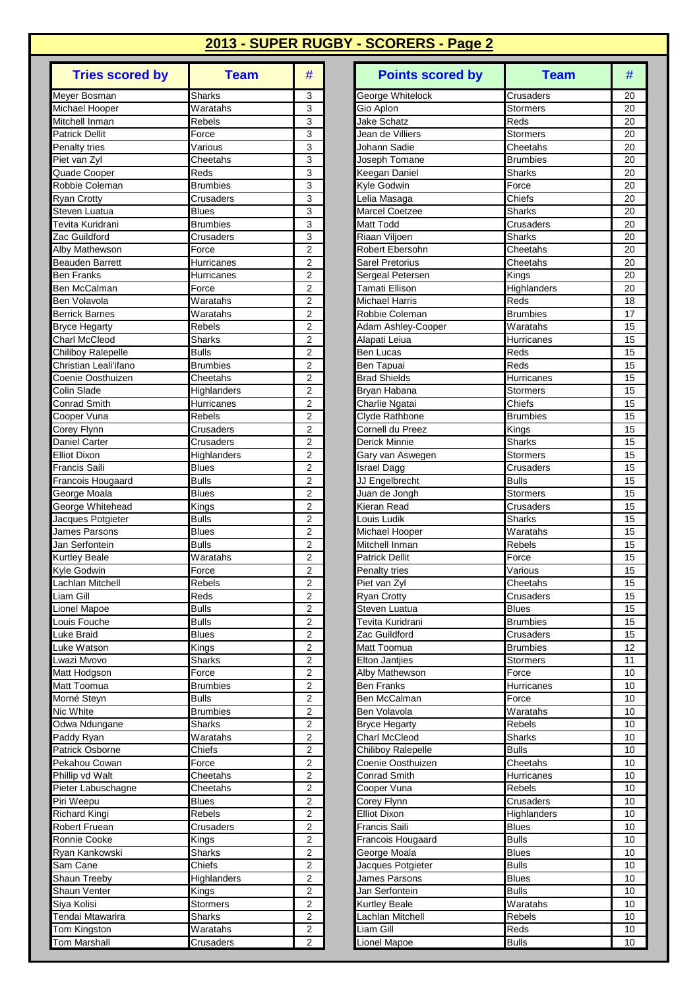| <b>Tries scored by</b>                     | <b>Team</b>                  | #                                         |
|--------------------------------------------|------------------------------|-------------------------------------------|
| Meyer Bosman                               | Sharks                       | 3                                         |
| Michael Hooper                             | Waratahs                     | 3                                         |
| Mitchell Inman                             | Rebels                       | 3                                         |
| <b>Patrick Dellit</b>                      | Force<br>Various             | 3<br>3                                    |
| Penalty tries<br>Piet van Zyl              | Cheetahs                     | 3                                         |
| Quade Cooper                               | Reds                         | 3                                         |
| Robbie Coleman                             | <b>Brumbies</b>              | 3                                         |
| Ryan Crotty                                | Crusaders                    | 3                                         |
| Steven Luatua                              | <b>Blues</b>                 | 3                                         |
| Tevita Kuridrani                           | <b>Brumbies</b>              | 3                                         |
| Zac Guildford                              | Crusaders                    | 3<br>$\overline{2}$                       |
| Alby Mathewson<br><b>Beauden Barrett</b>   | Force<br>Hurricanes          | $\overline{2}$                            |
| Ben Franks                                 | Hurricanes                   | 2                                         |
| Ben McCalman                               | Force                        | 2                                         |
| <b>Ben Volavola</b>                        | Waratahs                     | $\overline{2}$                            |
| Berrick Barnes                             | Waratahs                     | $\overline{2}$                            |
| <b>Bryce Hegarty</b>                       | Rebels                       | $\overline{2}$                            |
| <b>Charl McCleod</b>                       | Sharks                       | $\overline{2}$                            |
| Chiliboy Ralepelle                         | <b>Bulls</b>                 | $\overline{2}$                            |
| Christian Leali'ifano<br>Coenie Oosthuizen | <b>Brumbies</b><br>Cheetahs  | $\overline{2}$<br>2                       |
| Colin Slade                                | Highlanders                  | $\overline{2}$                            |
| Conrad Smith                               | Hurricanes                   | $\overline{2}$                            |
| Cooper Vuna                                | Rebels                       | $\overline{2}$                            |
| Corey Flynn                                | Crusaders                    | $\overline{2}$                            |
| Daniel Carter                              | Crusaders                    | $\overline{2}$                            |
| <b>Elliot Dixon</b>                        | Highlanders                  | $\overline{2}$                            |
| <b>Francis Saili</b>                       | <b>Blues</b>                 | $\overline{2}$                            |
| Francois Hougaard                          | <b>Bulls</b>                 | $\overline{2}$                            |
| George Moala<br>George Whitehead           | <b>Blues</b><br>Kings        | $\overline{c}$<br>$\overline{2}$          |
| Jacques Potgieter                          | <b>Bulls</b>                 | $\overline{2}$                            |
| James Parsons                              | <b>Blues</b>                 | $\overline{2}$                            |
| Jan Serfontein                             | <b>Bulls</b>                 | $\overline{2}$                            |
| Kurtley Beale                              | Waratahs                     | 2                                         |
| Kyle Godwin                                | Force                        | $\overline{2}$                            |
| Lachlan Mitchell                           | Rebels                       | $\overline{2}$                            |
| Liam Gill                                  | Reds                         | $\overline{2}$                            |
| Lionel Mapoe<br>Louis Fouche               | <b>Bulls</b>                 | 2<br>$\overline{\mathbf{c}}$              |
| Luke Braid                                 | <b>Bulls</b><br><b>Blues</b> | $\overline{\mathbf{c}}$                   |
| Luke Watson                                | Kings                        | $\overline{2}$                            |
| Lwazi Mvovo                                | Sharks                       | $\overline{2}$                            |
| Matt Hodgson                               | Force                        | $\overline{2}$                            |
| Matt Toomua                                | <b>Brumbies</b>              | 2                                         |
| Morné Steyn                                | <b>Bulls</b>                 | 2                                         |
| Nic White                                  | <b>Brumbies</b>              | $\overline{\mathbf{c}}$                   |
| Odwa Ndungane<br>Paddy Ryan                | Sharks<br>Waratahs           | $\overline{c}$<br>$\overline{\mathbf{c}}$ |
| Patrick Osborne                            | Chiefs                       | $\overline{2}$                            |
| Pekahou Cowan                              | Force                        | 2                                         |
| Phillip vd Walt                            | Cheetahs                     | 2                                         |
| Pieter Labuschagne                         | Cheetahs                     | 2                                         |
| Piri Weepu                                 | <b>Blues</b>                 | $\overline{2}$                            |
| Richard Kingi                              | Rebels                       | $\overline{\mathbf{c}}$                   |
| Robert Fruean                              | Crusaders                    | $\overline{2}$                            |
| Ronnie Cooke<br>Ryan Kankowski             | Kings                        | $\overline{\mathbf{c}}$                   |
| Sam Cane                                   | Sharks<br>Chiefs             | $\overline{\mathbf{c}}$<br>$\overline{c}$ |
| Shaun Treeby                               | Highlanders                  | 2                                         |
| Shaun Venter                               | Kings                        | $\overline{2}$                            |
| Siya Kolisi                                | Stormers                     | 2                                         |
| Tendai Mtawarira                           | Sharks                       | 2                                         |
| Tom Kingston                               | Waratahs                     | $\overline{c}$                            |
| Tom Marshall                               | Crusaders                    | $\overline{2}$                            |

| <b>Tries scored by</b>               | <b>Team</b>                  | #                   | <b>Points scored by</b>                   | <b>Team</b>                  | #        |
|--------------------------------------|------------------------------|---------------------|-------------------------------------------|------------------------------|----------|
| Meyer Bosman                         | <b>Sharks</b>                | 3                   | George Whitelock                          | Crusaders                    | 20       |
| Michael Hooper                       | Waratahs                     | 3                   | Gio Aplon                                 | <b>Stormers</b>              | 20       |
| Mitchell Inman                       | <b>Rebels</b>                | 3                   | <b>Jake Schatz</b>                        | Reds                         | 20       |
| Patrick Dellit                       | Force                        | 3                   | Jean de Villiers                          | Stormers                     | 20       |
| Penalty tries                        | Various                      | 3                   | Johann Sadie                              | Cheetahs                     | 20       |
| Piet van Zyl                         | Cheetahs                     | 3                   | Joseph Tomane                             | <b>Brumbies</b>              | 20       |
| Quade Cooper                         | Reds                         | 3                   | Keegan Daniel                             | Sharks                       | 20       |
| Robbie Coleman                       | <b>Brumbies</b>              | 3                   | <b>Kyle Godwin</b>                        | Force                        | 20       |
| Ryan Crotty                          | Crusaders                    | 3                   | Lelia Masaga                              | Chiefs                       | 20       |
| Steven Luatua<br>Tevita Kuridrani    | Blues                        | 3<br>3              | Marcel Coetzee<br><b>Matt Todd</b>        | Sharks                       | 20       |
| Zac Guildford                        | <b>Brumbies</b><br>Crusaders | 3                   | Riaan Viljoen                             | Crusaders<br>Sharks          | 20<br>20 |
| Alby Mathewson                       | Force                        | 2                   | <b>Robert Ebersohn</b>                    | Cheetahs                     | 20       |
| <b>Beauden Barrett</b>               | Hurricanes                   | $\overline{2}$      | Sarel Pretorius                           | Cheetahs                     | 20       |
| <b>Ben Franks</b>                    | Hurricanes                   | 2                   | Sergeal Petersen                          | Kings                        | 20       |
| Ben McCalman                         | Force                        | $\overline{2}$      | <b>Tamati Ellison</b>                     | Highlanders                  | 20       |
| Ben Volavola                         | Waratahs                     | $\overline{2}$      | <b>Michael Harris</b>                     | Reds                         | 18       |
| <b>Berrick Barnes</b>                | Waratahs                     | $\overline{2}$      | Robbie Coleman                            | <b>Brumbies</b>              | 17       |
| <b>Bryce Hegarty</b>                 | <b>Rebels</b>                | $\overline{2}$      | Adam Ashley-Cooper                        | Waratahs                     | 15       |
| <b>Charl McCleod</b>                 | <b>Sharks</b>                | 2                   | Alapati Leiua                             | Hurricanes                   | 15       |
| Chiliboy Ralepelle                   | <b>Bulls</b>                 | $\overline{2}$      | Ben Lucas                                 | Reds                         | 15       |
| Christian Leali'ifano                | <b>Brumbies</b>              | $\overline{2}$      | <b>Ben Tapuai</b>                         | Reds                         | 15       |
| Coenie Oosthuizen                    | Cheetahs                     | $\overline{2}$      | <b>Brad Shields</b>                       | Hurricanes                   | 15       |
| Colin Slade                          | Highlanders                  | $\overline{2}$      | Bryan Habana                              | <b>Stormers</b>              | 15       |
| <b>Conrad Smith</b>                  | Hurricanes                   | 2                   | Charlie Ngatai                            | Chiefs                       | 15       |
| Cooper Vuna                          | Rebels                       | $\overline{2}$      | Clyde Rathbone                            | <b>Brumbies</b>              | 15       |
| Corey Flynn                          | Crusaders                    | $\overline{2}$      | Cornell du Preez                          | Kings                        | 15       |
| Daniel Carter                        | Crusaders                    | $\overline{c}$      | Derick Minnie                             | Sharks                       | 15       |
| <b>Elliot Dixon</b><br>Francis Saili | Highlanders<br><b>Blues</b>  | $\overline{2}$<br>2 | Gary van Aswegen<br><b>Israel Dagg</b>    | <b>Stormers</b><br>Crusaders | 15<br>15 |
| Francois Hougaard                    | <b>Bulls</b>                 | $\overline{2}$      | JJ Engelbrecht                            | <b>Bulls</b>                 | 15       |
| George Moala                         | <b>Blues</b>                 | $\overline{2}$      | Juan de Jongh                             | <b>Stormers</b>              | 15       |
| George Whitehead                     | Kings                        | $\overline{2}$      | Kieran Read                               | Crusaders                    | 15       |
| Jacques Potgieter                    | <b>Bulls</b>                 | $\overline{2}$      | Louis Ludik                               | <b>Sharks</b>                | 15       |
| James Parsons                        | Blues                        | $\overline{2}$      | Michael Hooper                            | Waratahs                     | 15       |
| Jan Serfontein                       | <b>Bulls</b>                 | $\overline{2}$      | Mitchell Inman                            | Rebels                       | 15       |
| Kurtley Beale                        | Waratahs                     | 2                   | Patrick Dellit                            | Force                        | 15       |
| Kyle Godwin                          | Force                        | $\overline{2}$      | Penalty tries                             | Various                      | 15       |
| Lachlan Mitchell                     | Rebels                       | $\overline{2}$      | Piet van Zyl                              | Cheetahs                     | 15       |
| Liam Gill                            | Reds                         | $\overline{2}$      | <b>Ryan Crotty</b>                        | Crusaders                    | 15       |
| Lionel Mapoe                         | <b>Bulls</b>                 | 2                   | Steven Luatua                             | <b>Blues</b>                 | 15       |
| Louis Fouche                         | <b>Bulls</b>                 | 2                   | Tevita Kuridrani                          | <b>Brumbies</b>              | 15       |
| Luke Braid                           | <b>Blues</b>                 | 2<br>$\overline{2}$ | Zac Guildford                             | Crusaders<br><b>Brumbies</b> | 15       |
| Luke Watson<br>Lwazi Mvovo           | Kings<br>Sharks              | $\overline{2}$      | Matt Toomua<br><b>Elton Jantiies</b>      | Stormers                     | 12<br>11 |
| Matt Hodgson                         | Force                        | $\boldsymbol{2}$    | Alby Mathewson                            | Force                        | 10       |
| Matt Toomua                          | <b>Brumbies</b>              | 2                   | <b>Ben Franks</b>                         | Hurricanes                   | 10       |
| Morné Steyn                          | <b>Bulls</b>                 | 2                   | Ben McCalman                              | Force                        | 10       |
| Nic White                            | Brumbies                     | 2                   | Ben Volavola                              | Waratahs                     | 10       |
| Odwa Ndungane                        | <b>Sharks</b>                | 2                   | <b>Bryce Hegarty</b>                      | Rebels                       | 10       |
| Paddy Ryan                           | Waratahs                     | 2                   | Charl McCleod                             | <b>Sharks</b>                | 10       |
| Patrick Osborne                      | Chiefs                       | 2                   | Chiliboy Ralepelle                        | <b>Bulls</b>                 | 10       |
| Pekahou Cowan                        | Force                        | 2                   | Coenie Oosthuizen                         | Cheetahs                     | 10       |
| Phillip vd Walt                      | Cheetahs                     | 2                   | Conrad Smith                              | Hurricanes                   | 10       |
| Pieter Labuschagne                   | Cheetahs                     | 2                   | Cooper Vuna                               | Rebels                       | 10       |
| Piri Weepu                           | <b>Blues</b>                 | $\overline{2}$      | Corey Flynn                               | Crusaders                    | 10       |
| Richard Kingi                        | <b>Rebels</b>                | 2                   | Elliot Dixon                              | Highlanders                  | 10       |
| Robert Fruean<br>Ronnie Cooke        | Crusaders<br>Kings           | 2<br>2              | <b>Francis Saili</b><br>Francois Hougaard | <b>Blues</b><br><b>Bulls</b> | 10<br>10 |
| Ryan Kankowski                       | Sharks                       | $\boldsymbol{2}$    | George Moala                              | <b>Blues</b>                 | 10       |
| Sam Cane                             | Chiefs                       | 2                   | Jacques Potgieter                         | <b>Bulls</b>                 | 10       |
| Shaun Treeby                         | Highlanders                  | 2                   | James Parsons                             | <b>Blues</b>                 | 10       |
| Shaun Venter                         | Kings                        | $\overline{2}$      | Jan Serfontein                            | <b>Bulls</b>                 | 10       |
| Siya Kolisi                          | Stormers                     | 2                   | <b>Kurtley Beale</b>                      | Waratahs                     | 10       |
| Tendai Mtawarira                     | Sharks                       | 2                   | Lachlan Mitchell                          | <b>Rebels</b>                | 10       |
| Tom Kingston                         | Waratahs                     | 2                   | Liam Gill                                 | Reds                         | 10       |
| Tom Marshall                         | Crusaders                    | $\overline{c}$      | Lionel Mapoe                              | <b>Bulls</b>                 | 10       |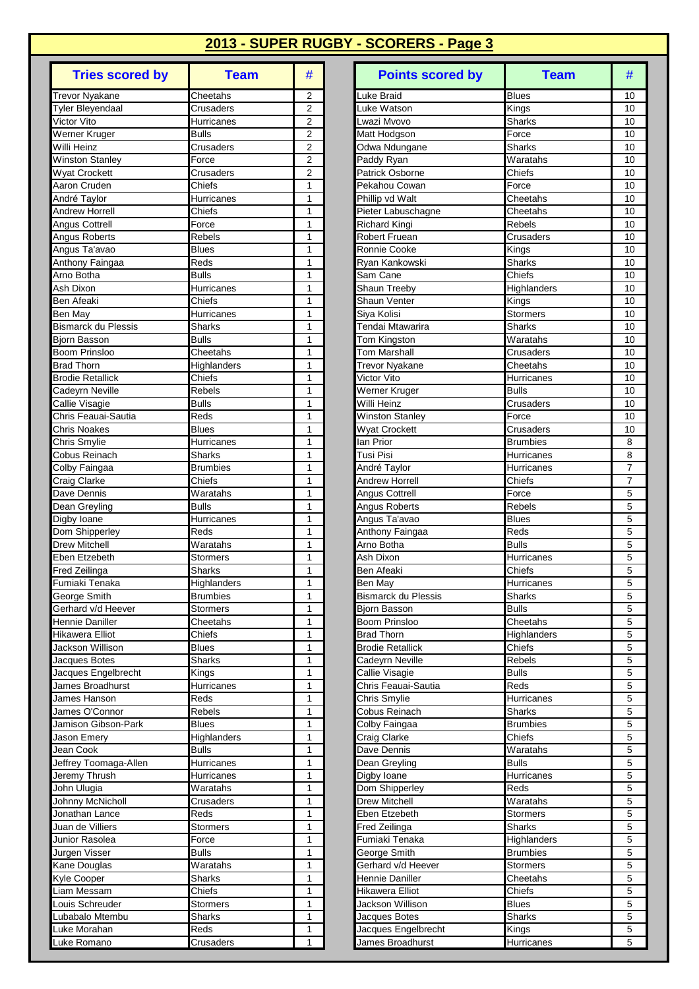| <b>Tries scored by</b>                         | <b>Team</b>            | #                                |
|------------------------------------------------|------------------------|----------------------------------|
| <b>Trevor Nyakane</b>                          | Cheetahs               | 2                                |
| Tyler Bleyendaal                               | Crusaders              | 2                                |
| Victor Vito                                    | Hurricanes             | 2                                |
| Werner Kruger                                  | <b>Bulls</b>           | $\overline{2}$                   |
| Willi Heinz                                    | Crusaders              | $\overline{2}$<br>$\overline{2}$ |
| Winston Stanley<br>Wyat Crockett               | Force<br>Crusaders     | $\overline{2}$                   |
| Aaron Cruden                                   | Chiefs                 | 1                                |
| André Taylor                                   | Hurricanes             | 1                                |
| <b>Andrew Horrell</b>                          | Chiefs                 | 1                                |
| Angus Cottrell                                 | Force                  | 1                                |
| Angus Roberts                                  | Rebels                 | 1                                |
| Angus Ta'avao                                  | <b>Blues</b>           | 1                                |
| Anthony Faingaa                                | Reds                   | 1                                |
| Arno Botha                                     | Bulls                  | 1                                |
| Ash Dixon                                      | Hurricanes             | 1                                |
| <b>Ben Afeaki</b>                              | Chiefs                 | 1                                |
| Ben May                                        | Hurricanes             | 1                                |
| <b>Bismarck du Plessis</b><br>Bjorn Basson     | Sharks<br><b>Bulls</b> | 1<br>1                           |
| Boom Prinsloo                                  | Cheetahs               | 1                                |
| <b>Brad Thorn</b>                              | Highlanders            | 1                                |
| <b>Brodie Retallick</b>                        | Chiefs                 | 1                                |
| Cadeyrn Neville                                | Rebels                 | 1                                |
| Callie Visagie                                 | <b>Bulls</b>           | 1                                |
| Chris Feauai-Sautia                            | Reds                   | 1                                |
| Chris Noakes                                   | <b>Blues</b>           | 1                                |
| Chris Smylie                                   | Hurricanes             | 1                                |
| Cobus Reinach                                  | Sharks                 | 1                                |
| Colby Faingaa                                  | <b>Brumbies</b>        | 1                                |
| Craig Clarke                                   | Chiefs                 | 1                                |
| Dave Dennis                                    | Waratahs               | 1                                |
| Dean Greyling                                  | <b>Bulls</b>           | 1                                |
| Digby Ioane<br>Dom Shipperley                  | Hurricanes<br>Reds     | 1<br>1                           |
| <b>Drew Mitchell</b>                           | Waratahs               | 1                                |
| Eben Etzebeth                                  | <b>Stormers</b>        | 1                                |
| Fred Zeilinga                                  | Sharks                 | 1                                |
| Fumiaki Tenaka                                 | Highlanders            | 1                                |
| George Smith                                   | <b>Brumbies</b>        | 1                                |
| Gerhard v/d Heever                             | <b>Stormers</b>        | 1                                |
| Hennie Daniller                                | Cheetahs               | 1                                |
| Hikawera Elliot                                | Chiefs                 | 1                                |
| Jackson Willison                               | <b>Blues</b>           | 1                                |
| Jacques Botes                                  | <b>Sharks</b>          | 1                                |
| Jacques Engelbrecht<br><b>James Broadhurst</b> | Kings<br>Hurricanes    | 1<br>1                           |
| James Hanson                                   | Reds                   | 1                                |
| James O'Connor                                 | Rebels                 | 1                                |
| Jamison Gibson-Park                            | <b>Blues</b>           | 1                                |
| Jason Emery                                    | Highlanders            | 1                                |
| Jean Cook                                      | <b>Bulls</b>           | 1                                |
| Jeffrey Toomaga-Allen                          | Hurricanes             | 1                                |
| Jeremy Thrush                                  | Hurricanes             | 1                                |
| John Ulugia                                    | Waratahs               | 1                                |
| Johnny McNicholl                               | Crusaders              | 1                                |
| Jonathan Lance                                 | Reds                   | 1                                |
| Juan de Villiers                               | <b>Stormers</b>        | 1                                |
| Junior Rasolea                                 | Force                  | 1                                |
| Jurgen Visser                                  | <b>Bulls</b>           | 1                                |
| Kane Douglas<br>Kyle Cooper                    | Waratahs<br>Sharks     | 1<br>1                           |
| Liam Messam                                    | Chiefs                 | 1                                |
| Louis Schreuder                                | Stormers               | 1                                |
| Lubabalo Mtembu                                | Sharks                 | 1                                |
| Luke Morahan                                   | Reds                   | 1                                |
| Luke Romano                                    | Crusaders              | 1                                |

| <b>Tries scored by</b>                     | <b>Team</b>               | #                   | <b>Points scored by</b>                        | <b>Team</b>                | #              |
|--------------------------------------------|---------------------------|---------------------|------------------------------------------------|----------------------------|----------------|
| <b>Trevor Nyakane</b>                      | Cheetahs                  | 2                   | Luke Braid                                     | <b>Blues</b>               | 10             |
| <b>Tyler Bleyendaal</b>                    | Crusaders                 | $\overline{2}$      | Luke Watson                                    | Kings                      | 10             |
| Victor Vito                                | Hurricanes                | $\overline{2}$      | _wazi Mvovo                                    | <b>Sharks</b>              | 10             |
| Werner Kruger<br>Willi Heinz               | <b>Bulls</b><br>Crusaders | $\overline{2}$<br>2 | Matt Hodgson<br>Odwa Ndungane                  | Force<br>Sharks            | 10<br>10       |
| <b>Winston Stanley</b>                     | Force                     | $\overline{2}$      | Paddy Ryan                                     | Waratahs                   | 10             |
| <b>Wyat Crockett</b>                       | Crusaders                 | $\overline{2}$      | Patrick Osborne                                | Chiefs                     | 10             |
| Aaron Cruden                               | Chiefs                    | 1                   | Pekahou Cowan                                  | Force                      | 10             |
| André Taylor                               | Hurricanes                | $\mathbf{1}$        | Phillip vd Walt                                | Cheetahs                   | 10             |
| <b>Andrew Horrell</b>                      | Chiefs                    | 1                   | Pieter Labuschagne                             | Cheetahs                   | 10             |
| <b>Angus Cottrell</b>                      | Force                     | 1                   | <b>Richard Kingi</b>                           | <b>Rebels</b>              | 10             |
| Angus Roberts                              | Rebels                    | 1                   | <b>Robert Fruean</b>                           | Crusaders                  | 10             |
| Angus Ta'avao                              | <b>Blues</b>              | $\mathbf{1}$        | Ronnie Cooke                                   | Kings                      | 10             |
| Anthony Faingaa<br>Arno Botha              | Reds<br><b>Bulls</b>      | 1<br>1              | Ryan Kankowski<br>Sam Cane                     | Sharks<br>Chiefs           | 10<br>10       |
| Ash Dixon                                  | Hurricanes                | 1                   | Shaun Treeby                                   | Highlanders                | 10             |
| Ben Afeaki                                 | Chiefs                    | 1                   | Shaun Venter                                   | Kings                      | 10             |
| Ben May                                    | Hurricanes                | 1                   | Siya Kolisi                                    | <b>Stormers</b>            | 10             |
| <b>Bismarck du Plessis</b>                 | <b>Sharks</b>             | 1                   | Tendai Mtawarira                               | <b>Sharks</b>              | 10             |
| Bjorn Basson                               | <b>Bulls</b>              | $\mathbf{1}$        | Tom Kingston                                   | Waratahs                   | 10             |
| <b>Boom Prinsloo</b>                       | Cheetahs                  | 1                   | <b>Tom Marshall</b>                            | Crusaders                  | 10             |
| <b>Brad Thorn</b>                          | Highlanders               | 1                   | <b>Trevor Nyakane</b>                          | Cheetahs                   | 10             |
| <b>Brodie Retallick</b>                    | Chiefs                    | 1                   | <b>Victor Vito</b>                             | Hurricanes                 | 10             |
| Cadeyrn Neville                            | Rebels                    | 1                   | Werner Kruger                                  | <b>Bulls</b>               | 10             |
| Callie Visagie                             | <b>Bulls</b>              | 1                   | Willi Heinz                                    | Crusaders                  | 10             |
| Chris Feauai-Sautia<br><b>Chris Noakes</b> | Reds<br><b>Blues</b>      | 1<br>1              | <b>Winston Stanley</b><br><b>Wyat Crockett</b> | Force<br>Crusaders         | 10<br>10       |
| Chris Smylie                               | Hurricanes                | 1                   | lan Prior                                      | <b>Brumbies</b>            | 8              |
| Cobus Reinach                              | Sharks                    | 1                   | Tusi Pisi                                      | Hurricanes                 | 8              |
| Colby Faingaa                              | <b>Brumbies</b>           | 1                   | André Taylor                                   | Hurricanes                 | $\overline{7}$ |
| Craig Clarke                               | Chiefs                    | 1                   | <b>Andrew Horrell</b>                          | Chiefs                     | $\overline{7}$ |
| Dave Dennis                                | Waratahs                  | 1                   | Angus Cottrell                                 | Force                      | 5              |
| Dean Greyling                              | <b>Bulls</b>              | 1                   | Angus Roberts                                  | <b>Rebels</b>              | 5              |
| Digby Ioane                                | Hurricanes                | 1                   | Angus Ta'avao                                  | <b>Blues</b>               | 5              |
| Dom Shipperley                             | Reds                      | 1                   | Anthony Faingaa                                | Reds                       | 5              |
| <b>Drew Mitchell</b><br>Eben Etzebeth      | Waratahs<br>Stormers      | 1<br>1              | Arno Botha<br>Ash Dixon                        | <b>Bulls</b><br>Hurricanes | 5<br>5         |
| Fred Zeilinga                              | Sharks                    | 1                   | Ben Afeaki                                     | Chiefs                     | 5              |
| Fumiaki Tenaka                             | Highlanders               | 1                   | Ben Mav                                        | Hurricanes                 | 5              |
| George Smith                               | Brumbies                  | 1                   | <b>Bismarck du Plessis</b>                     | Sharks                     | 5              |
| Gerhard v/d Heever                         | <b>Stormers</b>           | $\mathbf{1}$        | Biorn Basson                                   | <b>Bulls</b>               | 5              |
| Hennie Daniller                            | Cheetahs                  | 1                   | <b>Boom Prinsloo</b>                           | Cheetahs                   | 5              |
| Hikawera Elliot                            | Chiefs                    | 1                   | <b>Brad Thorn</b>                              | Highlanders                | 5              |
| Jackson Willison                           | <b>Blues</b>              | 1                   | <b>Brodie Retallick</b>                        | Chiefs                     | 5              |
| Jacques Botes                              | Sharks                    | 1                   | Cadeyrn Neville                                | Rebels                     | 5              |
| Jacques Engelbrecht<br>James Broadhurst    | Kings<br>Hurricanes       | 1<br>1              | Callie Visagie<br>Chris Feauai-Sautia          | <b>Bulls</b><br>Reds       | 5<br>5         |
| James Hanson                               | Reds                      | $\mathbf{1}$        | Chris Smylie                                   | Hurricanes                 | 5              |
| James O'Connor                             | Rebels                    | 1                   | Cobus Reinach                                  | <b>Sharks</b>              | 5              |
| Jamison Gibson-Park                        | Blues                     | 1                   | Colby Faingaa                                  | <b>Brumbies</b>            | 5              |
| Jason Emery                                | Highlanders               | 1                   | Craig Clarke                                   | Chiefs                     | 5              |
| Jean Cook                                  | <b>Bulls</b>              | 1                   | Dave Dennis                                    | Waratahs                   | 5              |
| Jeffrey Toomaga-Allen                      | Hurricanes                | 1                   | Dean Greyling                                  | <b>Bulls</b>               | 5              |
| Jeremy Thrush                              | Hurricanes                | 1                   | Digby Ioane                                    | Hurricanes                 | 5              |
| John Ulugia                                | Waratahs                  | 1                   | Dom Shipperley                                 | Reds                       | 5              |
| Johnny McNicholl                           | Crusaders                 | 1                   | Drew Mitchell                                  | Waratahs                   | 5              |
| Jonathan Lance<br>Juan de Villiers         | Reds<br>Stormers          | 1<br>1              | Eben Etzebeth<br>Fred Zeilinga                 | Stormers<br>Sharks         | 5<br>5         |
| Junior Rasolea                             | Force                     | 1                   | Fumiaki Tenaka                                 | Highlanders                | 5              |
| Jurgen Visser                              | <b>Bulls</b>              | 1                   | George Smith                                   | <b>Brumbies</b>            | 5              |
| Kane Douglas                               | Waratahs                  | 1                   | Gerhard v/d Heever                             | Stormers                   | 5              |
| Kyle Cooper                                | Sharks                    | 1                   | Hennie Daniller                                | Cheetahs                   | 5              |
| Liam Messam                                | Chiefs                    | 1                   | Hikawera Elliot                                | Chiefs                     | 5              |
| Louis Schreuder                            | Stormers                  | 1                   | Jackson Willison                               | <b>Blues</b>               | 5              |
| Lubabalo Mtembu                            | <b>Sharks</b>             | 1                   | Jacques Botes                                  | <b>Sharks</b>              | 5              |
| Luke Morahan                               | Reds                      | 1                   | Jacques Engelbrecht                            | Kings                      | 5              |
| Luke Romano                                | Crusaders                 | 1                   | James Broadhurst                               | Hurricanes                 | 5              |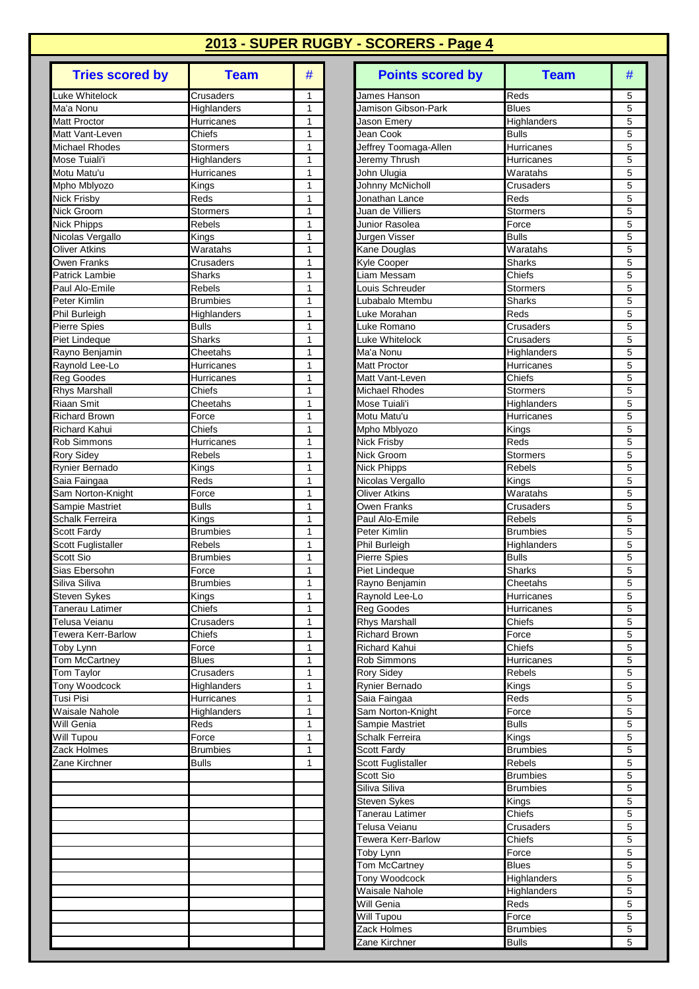| <b>Tries scored by</b>                 | <b>Team</b>            | #      |
|----------------------------------------|------------------------|--------|
| Luke Whitelock                         | Crusaders              | 1      |
| Ma'a Nonu                              | Highlanders            | 1      |
| Matt Proctor                           | Hurricanes             | 1      |
| Matt Vant-Leven<br>Michael Rhodes      | Chiefs<br>Stormers     | 1<br>1 |
| Mose Tuiali'i                          | Highlanders            | 1      |
| Motu Matu'u                            | Hurricanes             | 1      |
| Mpho Mblyozo                           | Kings                  | 1      |
| Nick Frisby                            | Reds                   | 1      |
| Nick Groom                             | Stormers               | 1      |
| <b>Nick Phipps</b><br>Nicolas Vergallo | Rebels<br>Kings        | 1<br>1 |
| <b>Oliver Atkins</b>                   | Waratahs               | 1      |
| Owen Franks                            | Crusaders              | 1      |
| Patrick Lambie                         | Sharks                 | 1      |
| Paul Alo-Emile                         | Rebels                 | 1      |
| Peter Kimlin                           | <b>Brumbies</b>        | 1      |
| Phil Burleigh                          | Highlanders            | 1<br>1 |
| Pierre Spies<br>Piet Lindeque          | <b>Bulls</b><br>Sharks | 1      |
| Rayno Benjamin                         | Cheetahs               | 1      |
| Raynold Lee-Lo                         | Hurricanes             | 1      |
| Reg Goodes                             | Hurricanes             | 1      |
| <b>Rhys Marshall</b>                   | Chiefs                 | 1      |
| <b>Riaan Smit</b>                      | Cheetahs               | 1      |
| <b>Richard Brown</b>                   | Force                  | 1      |
| <b>Richard Kahui</b>                   | Chiefs                 | 1<br>1 |
| Rob Simmons<br>Rory Sidey              | Hurricanes<br>Rebels   | 1      |
| Rynier Bernado                         | Kings                  | 1      |
| Saia Faingaa                           | Reds                   | 1      |
| Sam Norton-Knight                      | Force                  | 1      |
| Sampie Mastriet                        | <b>Bulls</b>           | 1      |
| Schalk Ferreira                        | Kings                  | 1      |
| Scott Fardy                            | Brumbies<br>Rebels     | 1<br>1 |
| Scott Fuglistaller<br>Scott Sio        | <b>Brumbies</b>        | 1      |
| Sias Ebersohn                          | Force                  | 1      |
| Siliva Siliva                          | <b>Brumbies</b>        | 1      |
| Steven Sykes                           | Kings                  | 1      |
| <b>Tanerau Latimer</b>                 | Chiefs                 | 1      |
| Telusa Veianu                          | Crusaders              | 1      |
| Tewera Kerr-Barlow<br>Toby Lynn        | Chiefs<br>Force        | 1<br>1 |
| Tom McCartney                          | <b>Blues</b>           | 1      |
| Tom Taylor                             | Crusaders              | 1      |
| <b>Tony Woodcock</b>                   | Highlanders            | 1      |
| Tusi Pisi                              | Hurricanes             | 1      |
| Waisale Nahole                         | Highlanders            | 1      |
| Will Genia                             | Reds<br>Force          | 1<br>1 |
| Will Tupou<br>Zack Holmes              | <b>Brumbies</b>        | 1      |
| Zane Kirchner                          | Bulls                  | 1      |
|                                        |                        |        |
|                                        |                        |        |
|                                        |                        |        |
|                                        |                        |        |
|                                        |                        |        |
|                                        |                        |        |
|                                        |                        |        |
|                                        |                        |        |
|                                        |                        |        |
|                                        |                        |        |
|                                        |                        |        |
|                                        |                        |        |
|                                        |                        |        |

| <b>Tries scored by</b>          | <b>Team</b>               | #                 | <b>Points scored by</b>                 | <b>Team</b>              | #      |
|---------------------------------|---------------------------|-------------------|-----------------------------------------|--------------------------|--------|
| Luke Whitelock                  | Crusaders                 | 1                 | James Hanson                            | Reds                     | 5      |
| Ma'a Nonu                       | Highlanders               | 1                 | Jamison Gibson-Park                     | <b>Blues</b>             | 5      |
| <b>Matt Proctor</b>             | Hurricanes                | 1                 | Jason Emery                             | Highlanders              | 5      |
| Matt Vant-Leven                 | Chiefs                    | 1                 | Jean Cook                               | <b>Bulls</b>             | 5      |
| <b>Michael Rhodes</b>           | Stormers                  | 1                 | Jeffrey Toomaga-Allen                   | Hurricanes               | 5      |
| Mose Tuiali'i<br>Motu Matu'u    | Highlanders<br>Hurricanes | 1<br>1            | Jeremy Thrush<br>John Ulugia            | Hurricanes<br>Waratahs   | 5<br>5 |
| Mpho Mblyozo                    | Kings                     | $\mathbf{1}$      | Johnny McNicholl                        | Crusaders                | 5      |
| Nick Frisby                     | Reds                      | 1                 | Jonathan Lance                          | Reds                     | 5      |
| Nick Groom                      | <b>Stormers</b>           | 1                 | Juan de Villiers                        | <b>Stormers</b>          | 5      |
| <b>Nick Phipps</b>              | Rebels                    | $\mathbf{1}$      | Junior Rasolea                          | Force                    | 5      |
| Nicolas Vergallo                | Kings                     | 1                 | Jurgen Visser                           | <b>Bulls</b>             | 5      |
| Oliver Atkins                   | Waratahs                  | 1                 | Kane Douglas                            | Waratahs                 | 5      |
| Owen Franks                     | Crusaders                 | 1                 | Kyle Cooper                             | <b>Sharks</b>            | 5      |
| <b>Patrick Lambie</b>           | <b>Sharks</b>             | $\mathbf{1}$      | iam Messam.                             | Chiefs                   | 5      |
| Paul Alo-Emile                  | <b>Rebels</b>             | 1                 | ouis Schreuder                          | <b>Stormers</b>          | 5      |
| Peter Kimlin                    | <b>Brumbies</b>           | 1                 | ubabalo Mtembu.                         | Sharks                   | 5      |
| Phil Burleigh                   | Highlanders               | $\mathbf{1}$      | uke Morahan.                            | Reds                     | 5      |
| <b>Pierre Spies</b>             | <b>Bulls</b>              | $\mathbf{1}$      | uke Romano                              | Crusaders                | 5      |
| Piet Lindeaue                   | <b>Sharks</b>             | 1                 | uke Whitelock                           | Crusaders                | 5      |
| Rayno Benjamin                  | Cheetahs                  | 1<br>$\mathbf{1}$ | Ma'a Nonu<br><b>Matt Proctor</b>        | Highlanders              | 5      |
| Raynold Lee-Lo<br>Reg Goodes    | Hurricanes<br>Hurricanes  | 1                 | Matt Vant-Leven                         | Hurricanes<br>Chiefs     | 5<br>5 |
| Rhys Marshall                   | Chiefs                    | 1                 | <b>Michael Rhodes</b>                   | <b>Stormers</b>          | 5      |
| Riaan Smit                      | Cheetahs                  | 1                 | Mose Tuiali'i                           | Highlanders              | 5      |
| <b>Richard Brown</b>            | Force                     | $\mathbf{1}$      | Motu Matu'u                             | Hurricanes               | 5      |
| Richard Kahui                   | Chiefs                    | 1                 | Mpho Mblyozo                            | Kings                    | 5      |
| Rob Simmons                     | Hurricanes                | 1                 | Nick Frisby                             | Reds                     | 5      |
| Rory Sidey                      | Rebels                    | 1                 | Nick Groom                              | Stormers                 | 5      |
| Rynier Bernado                  | Kings                     | 1                 | <b>Nick Phipps</b>                      | Rebels                   | 5      |
| Saia Faingaa                    | Reds                      | 1                 | Nicolas Vergallo                        | Kings                    | 5      |
| Sam Norton-Knight               | Force                     | 1                 | <b>Oliver Atkins</b>                    | Waratahs                 | 5      |
| Sampie Mastriet                 | <b>Bulls</b>              | $\mathbf{1}$      | Owen Franks                             | Crusaders                | 5      |
| Schalk Ferreira                 | Kings                     | 1                 | Paul Alo-Emile                          | Rebels                   | 5      |
| <b>Scott Fardy</b>              | <b>Brumbies</b>           | 1                 | Peter Kimlin                            | <b>Brumbies</b>          | 5      |
| Scott Fuglistaller              | <b>Rebels</b>             | 1                 | Phil Burleigh                           | Highlanders              | 5      |
| Scott Sio                       | <b>Brumbies</b>           | 1                 | <b>Pierre Spies</b>                     | <b>Bulls</b>             | 5      |
| Sias Ebersohn                   | Force                     | 1                 | <b>Piet Lindeque</b>                    | <b>Sharks</b>            | 5      |
| Siliva Siliva                   | <b>Brumbies</b>           | 1                 | Rayno Benjamin                          | Cheetahs                 | 5      |
| Steven Sykes<br>Tanerau Latimer | Kings<br>Chiefs           | 1<br>1            | Raynold Lee-Lo<br>Reg Goodes            | Hurricanes<br>Hurricanes | 5<br>5 |
| Telusa Veianu                   | Crusaders                 | $\mathbf{1}$      | <b>Rhys Marshall</b>                    | Chiefs                   | 5      |
| Tewera Kerr-Barlow              | Chiefs                    | $\mathbf{1}$      | <b>Richard Brown</b>                    | Force                    | 5      |
| Toby Lynn                       | Force                     | 1                 | <b>Richard Kahui</b>                    | Chiefs                   | 5      |
| Tom McCartney                   | Blues                     | 1                 | Rob Simmons                             | Hurricanes               | 5      |
| Tom Taylor                      | Crusaders                 | 1                 | <b>Rory Sidey</b>                       | Rebels                   | 5      |
| Tony Woodcock                   | Highlanders               | $\mathbf{1}$      | Rynier Bernado                          | Kings                    | 5      |
| Tusi Pisi                       | Hurricanes                | $\mathbf{1}$      | Saia Faingaa                            | Reds                     | 5      |
| Waisale Nahole                  | Highlanders               | 1                 | Sam Norton-Knight                       | Force                    | 5      |
| Will Genia                      | Reds                      | 1                 | Sampie Mastriet                         | <b>Bulls</b>             | 5      |
| Will Tupou                      | Force                     | 1                 | Schalk Ferreira                         | Kings                    | 5      |
| Zack Holmes                     | <b>Brumbies</b>           | 1                 | Scott Fardy                             | <b>Brumbies</b>          | 5      |
| Zane Kirchner                   | <b>Bulls</b>              | $\mathbf{1}$      | Scott Fuglistaller                      | Rebels                   | 5      |
|                                 |                           |                   | Scott Sio                               | <b>Brumbies</b>          | 5      |
|                                 |                           |                   | Siliva Siliva                           | <b>Brumbies</b>          | 5      |
|                                 |                           |                   | Steven Sykes                            | Kings                    | 5<br>5 |
|                                 |                           |                   | <b>Tanerau Latimer</b><br>Telusa Veianu | Chiefs<br>Crusaders      | 5      |
|                                 |                           |                   | Tewera Kerr-Barlow                      | Chiefs                   | 5      |
|                                 |                           |                   | Toby Lynn                               | Force                    | 5      |
|                                 |                           |                   | <b>Tom McCartney</b>                    | <b>Blues</b>             | 5      |
|                                 |                           |                   | <b>Tony Woodcock</b>                    | Highlanders              | 5      |
|                                 |                           |                   | <b>Waisale Nahole</b>                   | Highlanders              | 5      |
|                                 |                           |                   | Will Genia                              | Reds                     | 5      |
|                                 |                           |                   | Will Tupou                              | Force                    | 5      |
|                                 |                           |                   | Zack Holmes                             | <b>Brumbies</b>          | 5      |
|                                 |                           |                   | Zane Kirchner                           | <b>Bulls</b>             | 5      |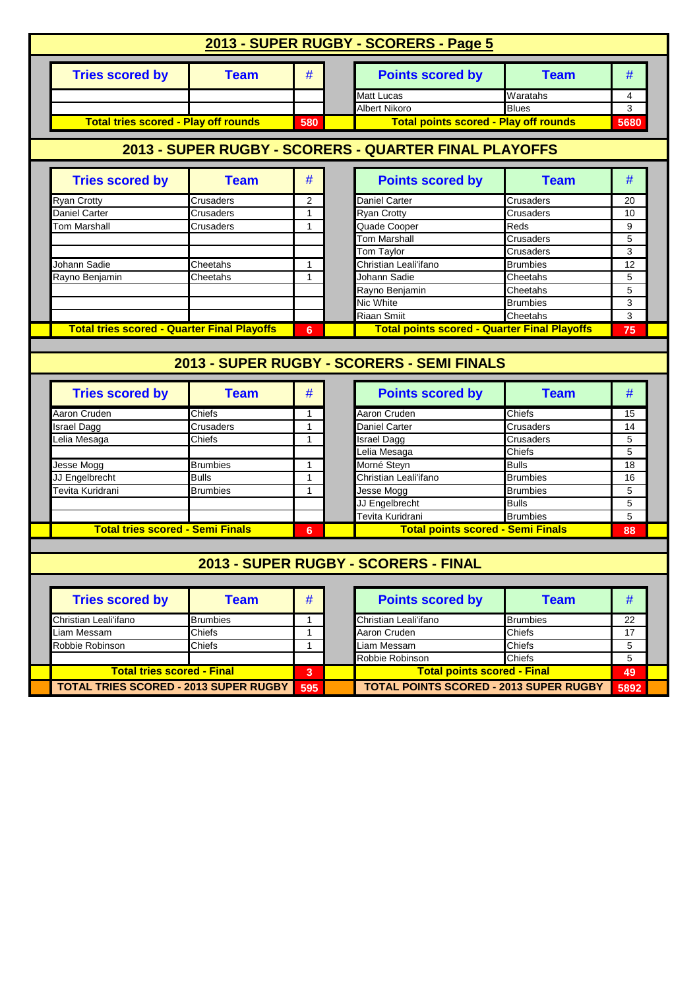| <b>Tries scored by</b>                                                                                 | <b>Team</b>                                        | #            | <b>Points scored by</b>                               | <b>Team</b>                        | #                 |
|--------------------------------------------------------------------------------------------------------|----------------------------------------------------|--------------|-------------------------------------------------------|------------------------------------|-------------------|
|                                                                                                        |                                                    |              | Matt Lucas                                            | $\overline{W}$ aratahs             | 4                 |
|                                                                                                        |                                                    |              | Albert Nikoro                                         | <b>Blues</b>                       | 3                 |
| <b>Total tries scored - Play off rounds</b>                                                            |                                                    | 580          | <b>Total points scored - Play off rounds</b>          |                                    | 5680              |
|                                                                                                        |                                                    |              | 2013 - SUPER RUGBY - SCORERS - QUARTER FINAL PLAYOFFS |                                    |                   |
| <b>Tries scored by</b>                                                                                 | <b>Team</b>                                        | #            | <b>Points scored by</b>                               | <b>Team</b>                        | #                 |
| Ryan Crotty                                                                                            | <b>Crusaders</b>                                   | 2            | <b>Daniel Carter</b>                                  | Crusaders                          | 20                |
| Daniel Carter                                                                                          | Crusaders                                          | $\mathbf{1}$ | <b>Ryan Crotty</b>                                    | Crusaders                          | 10                |
| Tom Marshall                                                                                           | Crusaders                                          | 1            | Quade Cooper                                          | Reds                               | 9                 |
|                                                                                                        |                                                    |              | Tom Marshall                                          | Crusaders                          | 5                 |
|                                                                                                        |                                                    |              | Tom Taylor                                            | Crusaders                          | 3                 |
| Johann Sadie                                                                                           | Cheetahs                                           | -1           | Christian Leali'ifano                                 | <b>Brumbies</b>                    | 12                |
| Rayno Benjamin                                                                                         | Cheetahs                                           | $\mathbf{1}$ | Johann Sadie                                          | Cheetahs                           | 5                 |
|                                                                                                        |                                                    |              | Rayno Benjamin                                        | Cheetahs                           | 5                 |
|                                                                                                        |                                                    |              | Nic White                                             | <b>Brumbies</b>                    | 3                 |
|                                                                                                        |                                                    |              | <b>Riaan Smiit</b>                                    | Cheetahs                           | 3                 |
|                                                                                                        | <b>Total tries scored - Quarter Final Playoffs</b> | 6            | <b>Total points scored - Quarter Final Playoffs</b>   |                                    | 75                |
|                                                                                                        |                                                    |              | 2013 - SUPER RUGBY - SCORERS - SEMI FINALS            |                                    |                   |
| <b>Tries scored by</b>                                                                                 | <b>Team</b>                                        | #            | <b>Points scored by</b>                               | <b>Team</b>                        | #                 |
|                                                                                                        | <b>Chiefs</b>                                      | -1           | Aaron Cruden                                          | Chiefs                             | 15                |
|                                                                                                        | Crusaders                                          | $\mathbf{1}$ | Daniel Carter                                         | Crusaders                          | 14                |
|                                                                                                        | Chiefs                                             | 1            | Israel Dagg                                           | Crusaders                          | 5                 |
|                                                                                                        |                                                    |              | Lelia Mesaga                                          | Chiefs                             | 5                 |
|                                                                                                        | <b>Brumbies</b>                                    | -1<br>1      | Morné Steyn                                           | <b>Bulls</b>                       | 18                |
|                                                                                                        | <b>Bulls</b><br><b>Brumbies</b>                    | 1            | Christian Leali'ifano                                 | <b>Brumbies</b><br><b>Brumbies</b> | 16<br>5           |
|                                                                                                        |                                                    |              | Jesse Mogg                                            | <b>Bulls</b>                       | 5                 |
|                                                                                                        |                                                    |              | JJ Engelbrecht<br>Tevita Kuridrani                    | <b>Brumbies</b>                    | 5                 |
| <b>Total tries scored - Semi Finals</b>                                                                |                                                    | 6            |                                                       |                                    | 88                |
|                                                                                                        |                                                    |              | <b>Total points scored - Semi Finals</b>              |                                    |                   |
| Aaron Cruden<br>Israel Dagg<br>Lelia Mesaga<br>Jesse Mogg<br>JJ Engelbrecht<br><b>Fevita Kuridrani</b> |                                                    |              | 2013 - SUPER RUGBY - SCORERS - FINAL                  |                                    |                   |
|                                                                                                        |                                                    |              |                                                       |                                    |                   |
| <b>Tries scored by</b>                                                                                 | <b>Team</b>                                        | #            | <b>Points scored by</b>                               | <b>Team</b>                        | #                 |
|                                                                                                        | <b>Brumbies</b>                                    | 1            | Christian Leali'ifano                                 | <b>Brumbies</b>                    | 22                |
|                                                                                                        | Chiefs                                             | $\mathbf{1}$ | Aaron Cruden                                          | Chiefs                             | 17                |
|                                                                                                        | Chiefs                                             | 1            | Liam Messam                                           | Chiefs                             | 5                 |
| Christian Leali'ifano<br>Liam Messam<br>Robbie Robinson<br><b>Total tries scored - Final</b>           |                                                    | 3            | Robbie Robinson<br><b>Total points scored - Final</b> | Chiefs                             | $\,$ 5 $\,$<br>49 |